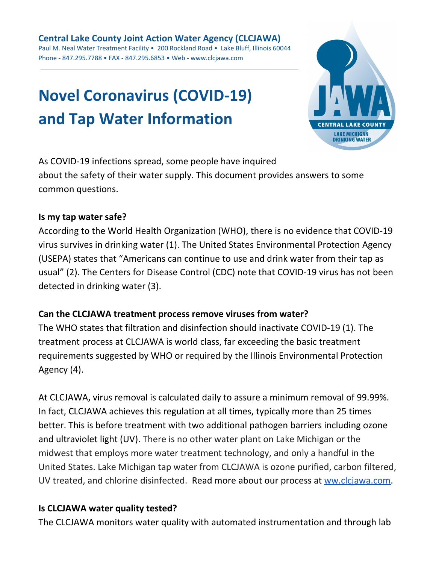# **Novel Coronavirus (COVID-19) and Tap Water Information**



As COVID-19 infections spread, some people have inquired about the safety of their water supply. This document provides answers to some common questions.

#### **Is my tap water safe?**

According to the World Health Organization (WHO), there is no evidence that COVID-19 virus survives in drinking water (1). The United States Environmental Protection Agency (USEPA) states that "Americans can continue to use and drink water from their tap as usual" (2). The Centers for Disease Control (CDC) note that COVID-19 virus has not been detected in drinking water (3).

#### **Can the CLCJAWA treatment process remove viruses from water?**

The WHO states that filtration and disinfection should inactivate COVID-19 (1). The treatment process at CLCJAWA is world class, far exceeding the basic treatment requirements suggested by WHO or required by the Illinois Environmental Protection Agency (4).

At CLCJAWA, virus removal is calculated daily to assure a minimum removal of 99.99%. In fact, CLCJAWA achieves this regulation at all times, typically more than 25 times better. This is before treatment with two additional pathogen barriers including ozone and ultraviolet light (UV). There is no other water plant on Lake Michigan or the midwest that employs more water treatment technology, and only a handful in the United States. Lake Michigan tap water from CLCJAWA is ozone purified, carbon filtered, UV treated, and chlorine disinfected. Read more about our process at [ww.clcjawa.com.](http://www.clcjawa.com/)

#### **Is CLCJAWA water quality tested?**

The CLCJAWA monitors water quality with automated instrumentation and through lab